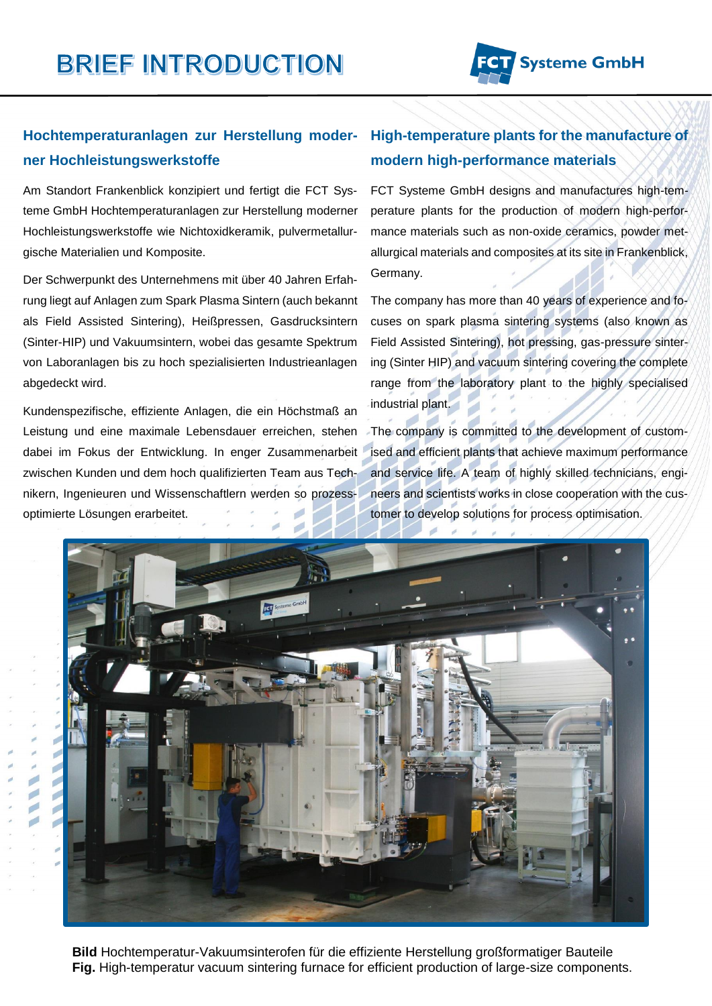## **Hochtemperaturanlagen zur Herstellung moderner Hochleistungswerkstoffe**

Am Standort Frankenblick konzipiert und fertigt die FCT Systeme GmbH Hochtemperaturanlagen zur Herstellung moderner Hochleistungswerkstoffe wie Nichtoxidkeramik, pulvermetallurgische Materialien und Komposite.

Der Schwerpunkt des Unternehmens mit über 40 Jahren Erfahrung liegt auf Anlagen zum Spark Plasma Sintern (auch bekannt als Field Assisted Sintering), Heißpressen, Gasdrucksintern (Sinter-HIP) und Vakuumsintern, wobei das gesamte Spektrum von Laboranlagen bis zu hoch spezialisierten Industrieanlagen abgedeckt wird.

Kundenspezifische, effiziente Anlagen, die ein Höchstmaß an Leistung und eine maximale Lebensdauer erreichen, stehen dabei im Fokus der Entwicklung. In enger Zusammenarbeit zwischen Kunden und dem hoch qualifizierten Team aus Technikern, Ingenieuren und Wissenschaftlern werden so prozessoptimierte Lösungen erarbeitet.

d

## **High-temperature plants for the manufacture of modern high-performance materials**

FCT Systeme GmbH designs and manufactures high-temperature plants for the production of modern high-performance materials such as non-oxide ceramics, powder metallurgical materials and composites at its site in Frankenblick, Germany.

The company has more than 40 years of experience and focuses on spark plasma sintering systems (also known as Field Assisted Sintering), hot pressing, gas-pressure sintering (Sinter HIP) and vacuum sintering covering the complete range from the laboratory plant to the highly specialised industrial plant.

The company is committed to the development of customised and efficient plants that achieve maximum performance and service life. A team of highly skilled technicians, engineers and scientists works in close cooperation with the customer to develop solutions for process optimisation.



**Bild** Hochtemperatur-Vakuumsinterofen für die effiziente Herstellung großformatiger Bauteile **Fig.** High-temperatur vacuum sintering furnace for efficient production of large-size components.